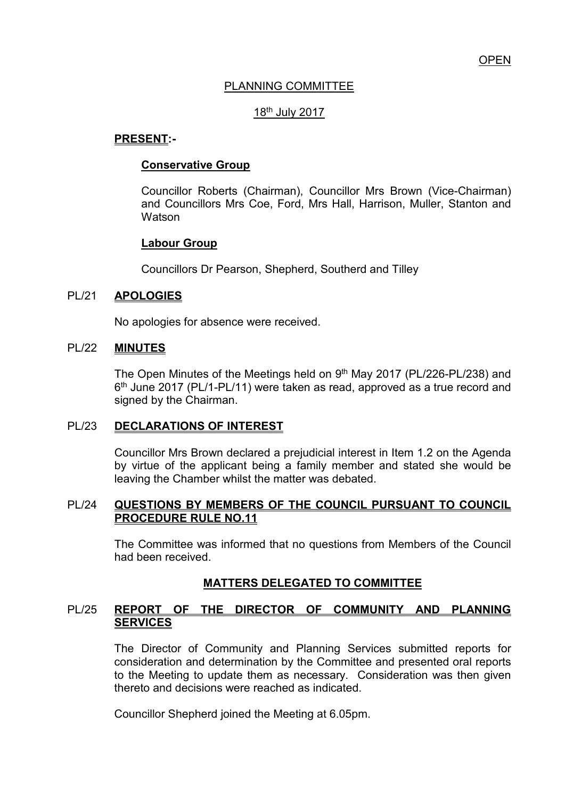# PLANNING COMMITTEE

### 18th July 2017

### **PRESENT:-**

#### **Conservative Group**

Councillor Roberts (Chairman), Councillor Mrs Brown (Vice-Chairman) and Councillors Mrs Coe, Ford, Mrs Hall, Harrison, Muller, Stanton and **Watson** 

### **Labour Group**

Councillors Dr Pearson, Shepherd, Southerd and Tilley

#### PL/21 **APOLOGIES**

No apologies for absence were received.

#### PL/22 **MINUTES**

The Open Minutes of the Meetings held on 9<sup>th</sup> May 2017 (PL/226-PL/238) and 6<sup>th</sup> June 2017 (PL/1-PL/11) were taken as read, approved as a true record and signed by the Chairman.

#### PL/23 **DECLARATIONS OF INTEREST**

Councillor Mrs Brown declared a prejudicial interest in Item 1.2 on the Agenda by virtue of the applicant being a family member and stated she would be leaving the Chamber whilst the matter was debated.

### PL/24 **QUESTIONS BY MEMBERS OF THE COUNCIL PURSUANT TO COUNCIL PROCEDURE RULE NO.11**

 The Committee was informed that no questions from Members of the Council had been received.

### **MATTERS DELEGATED TO COMMITTEE**

### PL/25 **REPORT OF THE DIRECTOR OF COMMUNITY AND PLANNING SERVICES**

The Director of Community and Planning Services submitted reports for consideration and determination by the Committee and presented oral reports to the Meeting to update them as necessary. Consideration was then given thereto and decisions were reached as indicated.

Councillor Shepherd joined the Meeting at 6.05pm.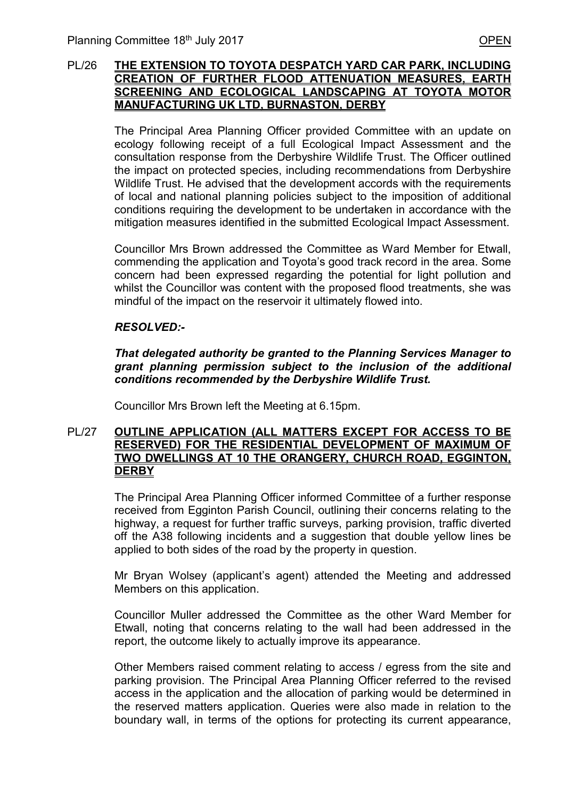### PL/26 **THE EXTENSION TO TOYOTA DESPATCH YARD CAR PARK, INCLUDING CREATION OF FURTHER FLOOD ATTENUATION MEASURES, EARTH SCREENING AND ECOLOGICAL LANDSCAPING AT TOYOTA MOTOR MANUFACTURING UK LTD, BURNASTON, DERBY**

 The Principal Area Planning Officer provided Committee with an update on ecology following receipt of a full Ecological Impact Assessment and the consultation response from the Derbyshire Wildlife Trust. The Officer outlined the impact on protected species, including recommendations from Derbyshire Wildlife Trust. He advised that the development accords with the requirements of local and national planning policies subject to the imposition of additional conditions requiring the development to be undertaken in accordance with the mitigation measures identified in the submitted Ecological Impact Assessment.

 Councillor Mrs Brown addressed the Committee as Ward Member for Etwall, commending the application and Toyota's good track record in the area. Some concern had been expressed regarding the potential for light pollution and whilst the Councillor was content with the proposed flood treatments, she was mindful of the impact on the reservoir it ultimately flowed into.

### *RESOLVED:-*

*That delegated authority be granted to the Planning Services Manager to grant planning permission subject to the inclusion of the additional conditions recommended by the Derbyshire Wildlife Trust.* 

Councillor Mrs Brown left the Meeting at 6.15pm.

#### PL/27 **OUTLINE APPLICATION (ALL MATTERS EXCEPT FOR ACCESS TO BE RESERVED) FOR THE RESIDENTIAL DEVELOPMENT OF MAXIMUM OF TWO DWELLINGS AT 10 THE ORANGERY, CHURCH ROAD, EGGINTON, DERBY**

The Principal Area Planning Officer informed Committee of a further response received from Egginton Parish Council, outlining their concerns relating to the highway, a request for further traffic surveys, parking provision, traffic diverted off the A38 following incidents and a suggestion that double yellow lines be applied to both sides of the road by the property in question.

Mr Bryan Wolsey (applicant's agent) attended the Meeting and addressed Members on this application.

Councillor Muller addressed the Committee as the other Ward Member for Etwall, noting that concerns relating to the wall had been addressed in the report, the outcome likely to actually improve its appearance.

Other Members raised comment relating to access / egress from the site and parking provision. The Principal Area Planning Officer referred to the revised access in the application and the allocation of parking would be determined in the reserved matters application. Queries were also made in relation to the boundary wall, in terms of the options for protecting its current appearance,